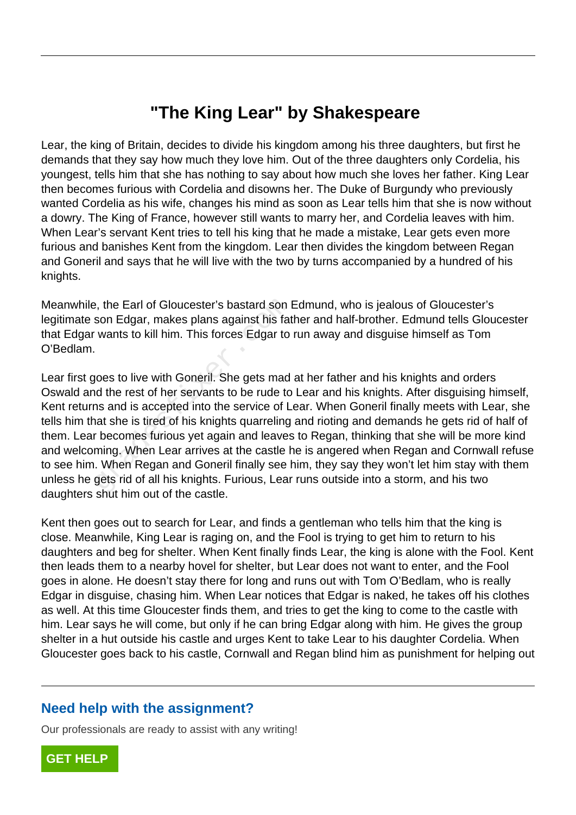## **"The King Lear" by Shakespeare**

Lear, the king of Britain, decides to divide his kingdom among his three daughters, but first he demands that they say how much they love him. Out of the three daughters only Cordelia, his youngest, tells him that she has nothing to say about how much she loves her father. King Lear then becomes furious with Cordelia and disowns her. The Duke of Burgundy who previously wanted Cordelia as his wife, changes his mind as soon as Lear tells him that she is now without a dowry. The King of France, however still wants to marry her, and Cordelia leaves with him. When Lear's servant Kent tries to tell his king that he made a mistake, Lear gets even more furious and banishes Kent from the kingdom. Lear then divides the kingdom between Regan and Goneril and says that he will live with the two by turns accompanied by a hundred of his knights.

Meanwhile, the Earl of Gloucester's bastard son Edmund, who is jealous of Gloucester's legitimate son Edgar, makes plans against his father and half-brother. Edmund tells Gloucester that Edgar wants to kill him. This forces Edgar to run away and disguise himself as Tom O'Bedlam.

Lear first goes to live with Goneril. She gets mad at her father and his knights and orders Oswald and the rest of her servants to be rude to Lear and his knights. After disguising himself, Kent returns and is accepted into the service of Lear. When Goneril finally meets with Lear, she tells him that she is tired of his knights quarreling and rioting and demands he gets rid of half of them. Lear becomes furious yet again and leaves to Regan, thinking that she will be more kind and welcoming. When Lear arrives at the castle he is angered when Regan and Cornwall refuse to see him. When Regan and Goneril finally see him, they say they won't let him stay with them unless he gets rid of all his knights. Furious, Lear runs outside into a storm, and his two daughters shut him out of the castle. Fract School Son Edgar, makes plans against his fatter wants to kill him. This forces Edgar to<br>noes to live with Goneril. She gets mad<br>not the rest of her servants to be rude to<br>ns and is accepted into the service of L<br>nat

Kent then goes out to search for Lear, and finds a gentleman who tells him that the king is close. Meanwhile, King Lear is raging on, and the Fool is trying to get him to return to his daughters and beg for shelter. When Kent finally finds Lear, the king is alone with the Fool. Kent then leads them to a nearby hovel for shelter, but Lear does not want to enter, and the Fool goes in alone. He doesn't stay there for long and runs out with Tom O'Bedlam, who is really Edgar in disguise, chasing him. When Lear notices that Edgar is naked, he takes off his clothes as well. At this time Gloucester finds them, and tries to get the king to come to the castle with him. Lear says he will come, but only if he can bring Edgar along with him. He gives the group shelter in a hut outside his castle and urges Kent to take Lear to his daughter Cordelia. When Gloucester goes back to his castle, Cornwall and Regan blind him as punishment for helping out

## **Need help with the assignment?**

Our professionals are ready to assist with any writing!